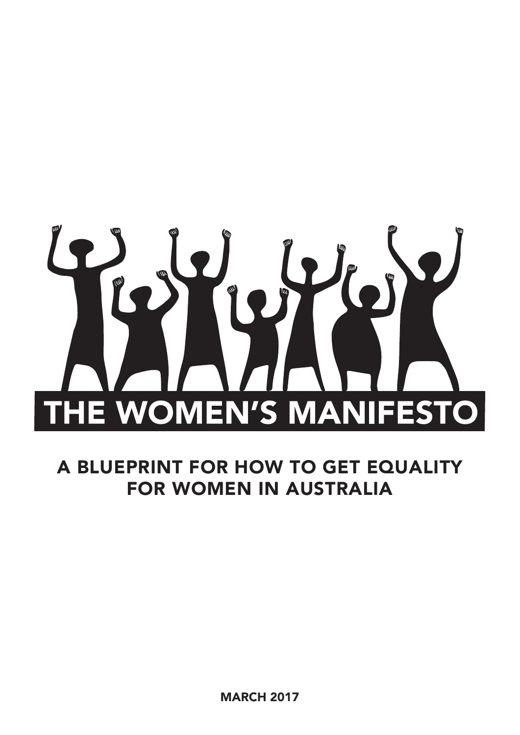

A BLUEPRINT FOR HOW TO GET EQUALITY FOR WOMEN IN AUSTRALIA

MARCH 2017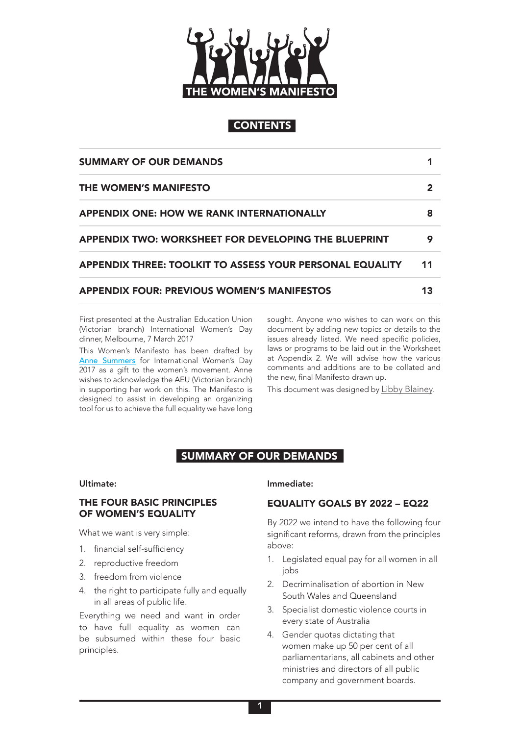

## **CONTENTS**

| <b>SUMMARY OF OUR DEMANDS</b>                            |    |
|----------------------------------------------------------|----|
| THE WOMEN'S MANIFESTO                                    |    |
| <b>APPENDIX ONE: HOW WE RANK INTERNATIONALLY</b>         | 8  |
| APPENDIX TWO: WORKSHEET FOR DEVELOPING THE BLUEPRINT     | 9  |
| APPENDIX THREE: TOOLKIT TO ASSESS YOUR PERSONAL EQUALITY | 11 |
| <b>APPENDIX FOUR: PREVIOUS WOMEN'S MANIFESTOS</b>        | 13 |

First presented at the Australian Education Union (Victorian branch) International Women's Day dinner, Melbourne, 7 March 2017

This Women's Manifesto has been drafted by [Anne Summers](http://annesummers.com.au) for International Women's Day 2017 as a gift to the women's movement. Anne wishes to acknowledge the AEU (Victorian branch) in supporting her work on this. The Manifesto is designed to assist in developing an organizing tool for us to achieve the full equality we have long sought. Anyone who wishes to can work on this document by adding new topics or details to the issues already listed. We need specific policies, laws or programs to be laid out in the Worksheet at Appendix 2. We will advise how the various comments and additions are to be collated and the new, final Manifesto drawn up.

This document was designed by [Libby Blainey.](http://www.libbyblainey.com.au)

## SUMMARY OF OUR DEMANDS

#### Ultimate:

#### THE FOUR BASIC PRINCIPLES OF WOMEN'S EQUALITY

What we want is very simple:

- 1. financial self-sufficiency
- 2. reproductive freedom
- 3. freedom from violence
- 4. the right to participate fully and equally in all areas of public life.

Everything we need and want in order to have full equality as women can be subsumed within these four basic principles.

#### Immediate:

## EQUALITY GOALS BY 2022 – EQ22

By 2022 we intend to have the following four significant reforms, drawn from the principles above:

- 1. Legislated equal pay for all women in all iobs
- 2. Decriminalisation of abortion in New South Wales and Queensland
- 3. Specialist domestic violence courts in every state of Australia
- 4. Gender quotas dictating that women make up 50 per cent of all parliamentarians, all cabinets and other ministries and directors of all public company and government boards.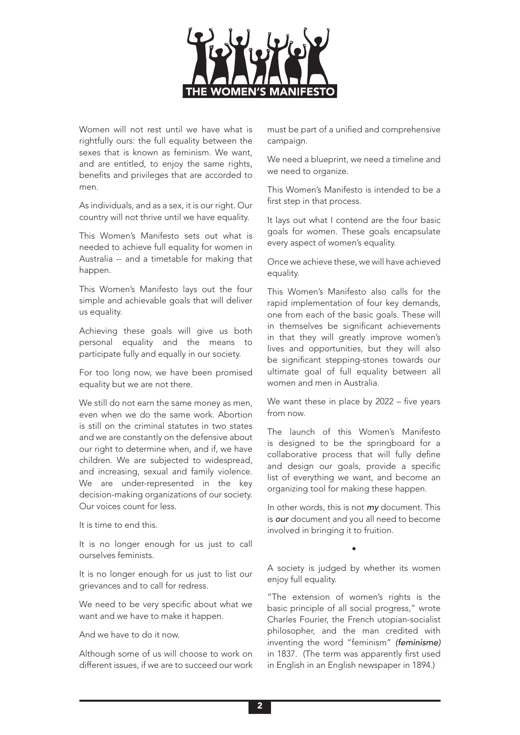

Women will not rest until we have what is rightfully ours: the full equality between the sexes that is known as feminism. We want, and are entitled, to enjoy the same rights, benefits and privileges that are accorded to men.

As individuals, and as a sex, it is our right. Our country will not thrive until we have equality.

This Women's Manifesto sets out what is needed to achieve full equality for women in Australia -- and a timetable for making that happen.

This Women's Manifesto lays out the four simple and achievable goals that will deliver us equality.

Achieving these goals will give us both personal equality and the means to participate fully and equally in our society.

For too long now, we have been promised equality but we are not there.

We still do not earn the same money as men, even when we do the same work. Abortion is still on the criminal statutes in two states and we are constantly on the defensive about our right to determine when, and if, we have children. We are subjected to widespread, and increasing, sexual and family violence. We are under-represented in the key decision-making organizations of our society. Our voices count for less.

It is time to end this.

It is no longer enough for us just to call ourselves feminists.

It is no longer enough for us just to list our grievances and to call for redress.

We need to be very specific about what we want and we have to make it happen.

And we have to do it now.

Although some of us will choose to work on different issues, if we are to succeed our work

must be part of a unified and comprehensive campaign.

We need a blueprint, we need a timeline and we need to organize.

This Women's Manifesto is intended to be a first step in that process.

It lays out what I contend are the four basic goals for women. These goals encapsulate every aspect of women's equality.

Once we achieve these, we will have achieved equality.

This Women's Manifesto also calls for the rapid implementation of four key demands, one from each of the basic goals. These will in themselves be significant achievements in that they will greatly improve women's lives and opportunities, but they will also be significant stepping-stones towards our ultimate goal of full equality between all women and men in Australia.

We want these in place by 2022 – five years from now.

The launch of this Women's Manifesto is designed to be the springboard for a collaborative process that will fully define and design our goals, provide a specific list of everything we want, and become an organizing tool for making these happen.

In other words, this is not *my* document. This is *our* document and you all need to become involved in bringing it to fruition.

A society is judged by whether its women enjoy full equality.

•

"The extension of women's rights is the basic principle of all social progress," wrote Charles Fourier, the French utopian-socialist philosopher, and the man credited with inventing the word "feminism" *(feminisme)* in 1837. (The term was apparently first used in English in an English newspaper in 1894.)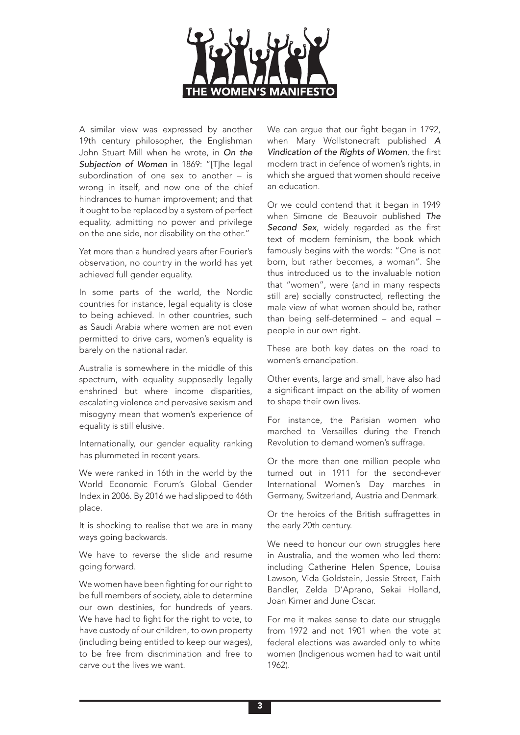

A similar view was expressed by another 19th century philosopher, the Englishman John Stuart Mill when he wrote, in *On the Subjection of Women* in 1869: "[T]he legal] subordination of one sex to another – is wrong in itself, and now one of the chief hindrances to human improvement; and that it ought to be replaced by a system of perfect equality, admitting no power and privilege on the one side, nor disability on the other."

Yet more than a hundred years after Fourier's observation, no country in the world has yet achieved full gender equality.

In some parts of the world, the Nordic countries for instance, legal equality is close to being achieved. In other countries, such as Saudi Arabia where women are not even permitted to drive cars, women's equality is barely on the national radar.

Australia is somewhere in the middle of this spectrum, with equality supposedly legally enshrined but where income disparities, escalating violence and pervasive sexism and misogyny mean that women's experience of equality is still elusive.

Internationally, our gender equality ranking has plummeted in recent years.

We were ranked in 16th in the world by the World Economic Forum's Global Gender Index in 2006. By 2016 we had slipped to 46th place.

It is shocking to realise that we are in many ways going backwards.

We have to reverse the slide and resume going forward.

We women have been fighting for our right to be full members of society, able to determine our own destinies, for hundreds of years. We have had to fight for the right to vote, to have custody of our children, to own property (including being entitled to keep our wages), to be free from discrimination and free to carve out the lives we want.

We can argue that our fight began in 1792, when Mary Wollstonecraft published *A Vindication of the Rights of Women*, the first modern tract in defence of women's rights, in which she argued that women should receive an education.

Or we could contend that it began in 1949 when Simone de Beauvoir published *The Second Sex*, widely regarded as the first text of modern feminism, the book which famously begins with the words: "One is not born, but rather becomes, a woman". She thus introduced us to the invaluable notion that "women", were (and in many respects still are) socially constructed, reflecting the male view of what women should be, rather than being self-determined – and equal – people in our own right.

These are both key dates on the road to women's emancipation.

Other events, large and small, have also had a significant impact on the ability of women to shape their own lives.

For instance, the Parisian women who marched to Versailles during the French Revolution to demand women's suffrage.

Or the more than one million people who turned out in 1911 for the second-ever International Women's Day marches in Germany, Switzerland, Austria and Denmark.

Or the heroics of the British suffragettes in the early 20th century.

We need to honour our own struggles here in Australia, and the women who led them: including Catherine Helen Spence, Louisa Lawson, Vida Goldstein, Jessie Street, Faith Bandler, Zelda D'Aprano, Sekai Holland, Joan Kirner and June Oscar.

For me it makes sense to date our struggle from 1972 and not 1901 when the vote at federal elections was awarded only to white women (Indigenous women had to wait until 1962).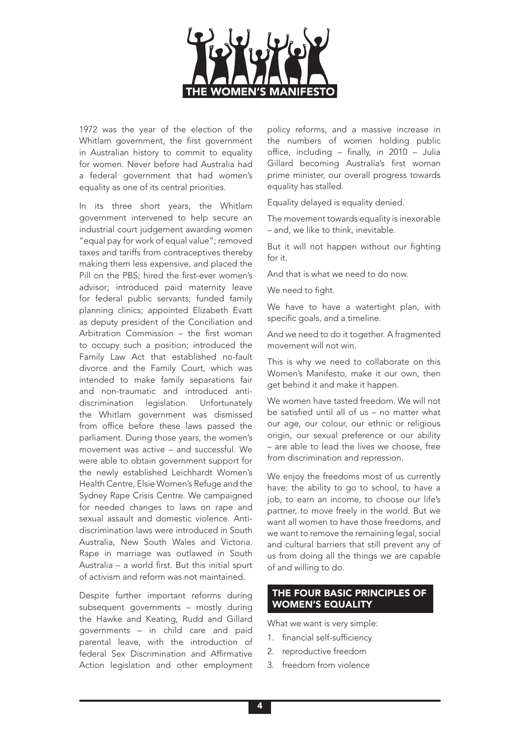

1972 was the year of the election of the Whitlam government, the first government in Australian history to commit to equality for women. Never before had Australia had a federal government that had women's equality as one of its central priorities.

In its three short years, the Whitlam government intervened to help secure an industrial court judgement awarding women "equal pay for work of equal value"; removed taxes and tariffs from contraceptives thereby making them less expensive, and placed the Pill on the PBS; hired the first-ever women's advisor; introduced paid maternity leave for federal public servants; funded family planning clinics; appointed Elizabeth Evatt as deputy president of the Conciliation and Arbitration Commission – the first woman to occupy such a position; introduced the Family Law Act that established no-fault divorce and the Family Court, which was intended to make family separations fair and non-traumatic and introduced antidiscrimination legislation. Unfortunately the Whitlam government was dismissed from office before these laws passed the parliament. During those years, the women's movement was active – and successful. We were able to obtain government support for the newly established Leichhardt Women's Health Centre, Elsie Women's Refuge and the Sydney Rape Crisis Centre. We campaigned for needed changes to laws on rape and sexual assault and domestic violence. Antidiscrimination laws were introduced in South Australia, New South Wales and Victoria. Rape in marriage was outlawed in South Australia – a world first. But this initial spurt of activism and reform was not maintained.

Despite further important reforms during subsequent governments – mostly during the Hawke and Keating, Rudd and Gillard governments – in child care and paid parental leave, with the introduction of federal Sex Discrimination and Affirmative Action legislation and other employment policy reforms, and a massive increase in the numbers of women holding public office, including – finally, in 2010 – Julia Gillard becoming Australia's first woman prime minister, our overall progress towards equality has stalled.

Equality delayed is equality denied.

The movement towards equality is inexorable – and, we like to think, inevitable.

But it will not happen without our fighting for it.

And that is what we need to do now.

We need to fight.

We have to have a watertight plan, with specific goals, and a timeline.

And we need to do it together. A fragmented movement will not win.

This is why we need to collaborate on this Women's Manifesto, make it our own, then get behind it and make it happen.

We women have tasted freedom. We will not be satisfied until all of us – no matter what our age, our colour, our ethnic or religious origin, our sexual preference or our ability – are able to lead the lives we choose, free from discrimination and repression.

We enjoy the freedoms most of us currently have: the ability to go to school, to have a job, to earn an income, to choose our life's partner, to move freely in the world. But we want all women to have those freedoms, and we want to remove the remaining legal, social and cultural barriers that still prevent any of us from doing all the things we are capable of and willing to do.

## THE FOUR BASIC PRINCIPLES OF WOMEN'S EQUALITY

What we want is very simple:

- 1. financial self-sufficiency
- 2. reproductive freedom
- 3. freedom from violence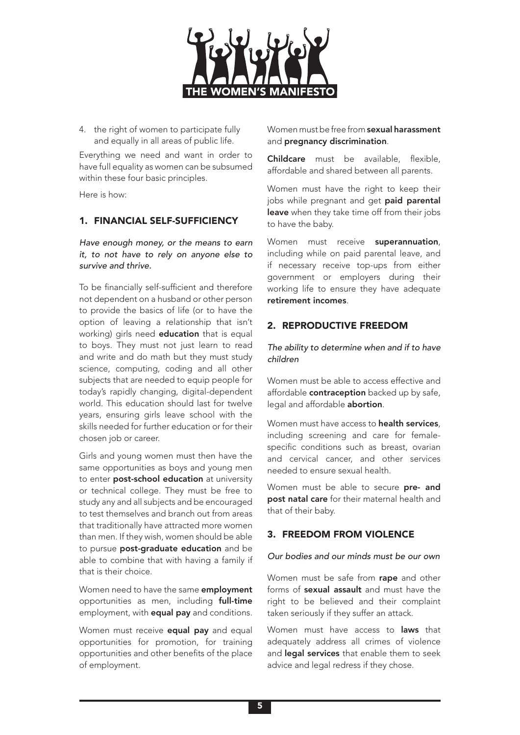

4. the right of women to participate fully and equally in all areas of public life.

Everything we need and want in order to have full equality as women can be subsumed within these four basic principles.

Here is how:

### 1. FINANCIAL SELF-SUFFICIENCY

*Have enough money, or the means to earn it, to not have to rely on anyone else to survive and thrive.*

To be financially self-sufficient and therefore not dependent on a husband or other person to provide the basics of life (or to have the option of leaving a relationship that isn't working) girls need **education** that is equal to boys. They must not just learn to read and write and do math but they must study science, computing, coding and all other subjects that are needed to equip people for today's rapidly changing, digital-dependent world. This education should last for twelve years, ensuring girls leave school with the skills needed for further education or for their chosen job or career.

Girls and young women must then have the same opportunities as boys and young men to enter **post-school education** at university or technical college. They must be free to study any and all subjects and be encouraged to test themselves and branch out from areas that traditionally have attracted more women than men. If they wish, women should be able to pursue **post-graduate education** and be able to combine that with having a family if that is their choice.

Women need to have the same **employment** opportunities as men, including full-time employment, with **equal pay** and conditions.

Women must receive **equal pay** and equal opportunities for promotion, for training opportunities and other benefits of the place of employment.

Women must be free from **sexual harassment** and pregnancy discrimination.

Childcare must be available, flexible, affordable and shared between all parents.

Women must have the right to keep their jobs while pregnant and get paid parental leave when they take time off from their jobs to have the baby.

Women must receive superannuation, including while on paid parental leave, and if necessary receive top-ups from either government or employers during their working life to ensure they have adequate retirement incomes.

### 2. REPRODUCTIVE FREEDOM

*The ability to determine when and if to have children*

Women must be able to access effective and affordable **contraception** backed up by safe, legal and affordable **abortion**.

Women must have access to health services, including screening and care for femalespecific conditions such as breast, ovarian and cervical cancer, and other services needed to ensure sexual health.

Women must be able to secure pre- and post natal care for their maternal health and that of their baby.

### 3. FREEDOM FROM VIOLENCE

#### *Our bodies and our minds must be our own*

Women must be safe from rape and other forms of sexual assault and must have the right to be believed and their complaint taken seriously if they suffer an attack.

Women must have access to **laws** that adequately address all crimes of violence and legal services that enable them to seek advice and legal redress if they chose.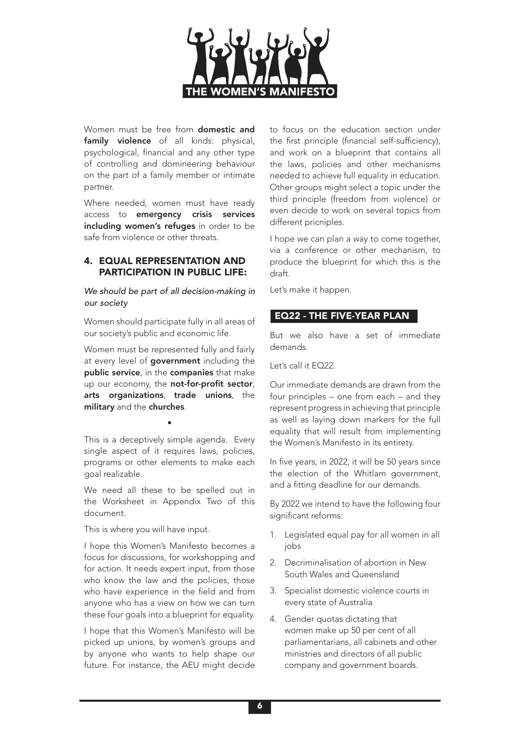

Women must be free from **domestic and** family violence of all kinds: physical, psychological, financial and any other type of controlling and domineering behaviour on the part of a family member or intimate partner.

Where needed, women must have ready access to emergency crisis services including women's refuges in order to be safe from violence or other threats.

### 4. EQUAL REPRESENTATION AND PARTICIPATION IN PUBLIC LIFE:

*We should be part of all decision-making in our society*

Women should participate fully in all areas of our society's public and economic life.

Women must be represented fully and fairly at every level of government including the public service, in the companies that make up our economy, the not-for-profit sector, arts organizations, trade unions, the military and the churches.

This is a deceptively simple agenda. Every single aspect of it requires laws, policies, programs or other elements to make each goal realizable.

•

We need all these to be spelled out in the Worksheet in Appendix Two of this document.

This is where you will have input.

I hope this Women's Manifesto becomes a focus for discussions, for workshopping and for action. It needs expert input, from those who know the law and the policies, those who have experience in the field and from anyone who has a view on how we can turn these four goals into a blueprint for equality.

I hope that this Women's Manifesto will be picked up unions, by women's groups and by anyone who wants to help shape our future. For instance, the AEU might decide

to focus on the education section under the first principle (financial self-sufficiency), and work on a blueprint that contains all the laws, policies and other mechanisms needed to achieve full equality in education. Other groups might select a topic under the third principle (freedom from violence) or even decide to work on several topics from different pricniples.

I hope we can plan a way to come together, via a conference or other mechanism, to produce the blueprint for which this is the draft.

Let's make it happen.

## EQ22 - THE FIVE-YEAR PLAN

But we also have a set of immediate demands.

Let's call it EQ22.

Our immediate demands are drawn from the four principles – one from each – and they represent progress in achieving that principle as well as laying down markers for the full equality that will result from implementing the Women's Manifesto in its entirety.

In five years, in 2022, it will be 50 years since the election of the Whitlam government, and a fitting deadline for our demands.

By 2022 we intend to have the following four significant reforms:

- 1. Legislated equal pay for all women in all jobs
- 2. Decriminalisation of abortion in New South Wales and Queensland
- 3. Specialist domestic violence courts in every state of Australia
- 4. Gender quotas dictating that women make up 50 per cent of all parliamentarians, all cabinets and other ministries and directors of all public company and government boards.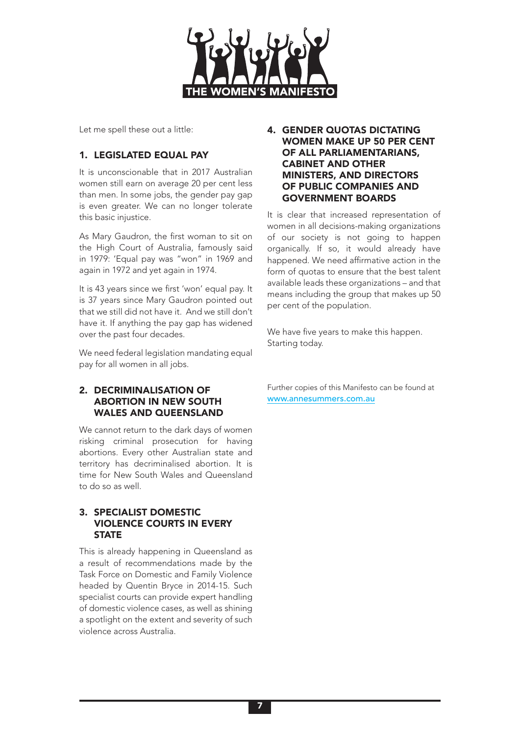

Let me spell these out a little:

# 1. LEGISLATED EQUAL PAY

It is unconscionable that in 2017 Australian women still earn on average 20 per cent less than men. In some jobs, the gender pay gap is even greater. We can no longer tolerate this basic injustice.

As Mary Gaudron, the first woman to sit on the High Court of Australia, famously said in 1979: 'Equal pay was "won" in 1969 and again in 1972 and yet again in 1974.

It is 43 years since we first 'won' equal pay. It is 37 years since Mary Gaudron pointed out that we still did not have it. And we still don't have it. If anything the pay gap has widened over the past four decades.

We need federal legislation mandating equal pay for all women in all jobs.

### 2. DECRIMINALISATION OF ABORTION IN NEW SOUTH WALES AND QUEENSLAND

We cannot return to the dark days of women risking criminal prosecution for having abortions. Every other Australian state and territory has decriminalised abortion. It is time for New South Wales and Queensland to do so as well.

### 3. SPECIALIST DOMESTIC VIOLENCE COURTS IN EVERY **STATE**

This is already happening in Queensland as a result of recommendations made by the Task Force on Domestic and Family Violence headed by Quentin Bryce in 2014-15. Such specialist courts can provide expert handling of domestic violence cases, as well as shining a spotlight on the extent and severity of such violence across Australia.

### 4. GENDER QUOTAS DICTATING WOMEN MAKE UP 50 PER CENT OF ALL PARLIAMENTARIANS, CABINET AND OTHER MINISTERS, AND DIRECTORS OF PUBLIC COMPANIES AND GOVERNMENT BOARDS

It is clear that increased representation of women in all decisions-making organizations of our society is not going to happen organically. If so, it would already have happened. We need affirmative action in the form of quotas to ensure that the best talent available leads these organizations – and that means including the group that makes up 50 per cent of the population.

We have five years to make this happen. Starting today.

Further copies of this Manifesto can be found at [www.annesummers.com.au](http://www.annesummers.com.au)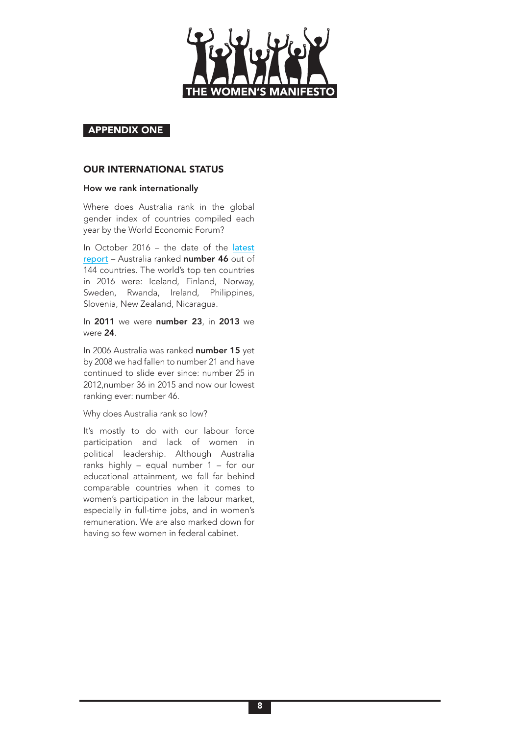

#### APPENDIX ONE

#### OUR INTERNATIONAL STATUS

#### How we rank internationally

Where does Australia rank in the global gender index of countries compiled each year by the World Economic Forum?

In October 2016 – the date of the [latest](http://www3.weforum.org/docs/GGGR16/WEF_Global_Gender_Gap_Report_2016.pdf) [report](http://www3.weforum.org/docs/GGGR16/WEF_Global_Gender_Gap_Report_2016.pdf) – Australia ranked number 46 out of 144 countries. The world's top ten countries in 2016 were: Iceland, Finland, Norway, Sweden, Rwanda, Ireland, Philippines, Slovenia, New Zealand, Nicaragua.

In 2011 we were number 23, in 2013 we were 24.

In 2006 Australia was ranked number 15 yet by 2008 we had fallen to number 21 and have continued to slide ever since: number 25 in 2012,number 36 in 2015 and now our lowest ranking ever: number 46.

#### Why does Australia rank so low?

It's mostly to do with our labour force participation and lack of women in political leadership. Although Australia ranks highly – equal number 1 – for our educational attainment, we fall far behind comparable countries when it comes to women's participation in the labour market, especially in full-time jobs, and in women's remuneration. We are also marked down for having so few women in federal cabinet.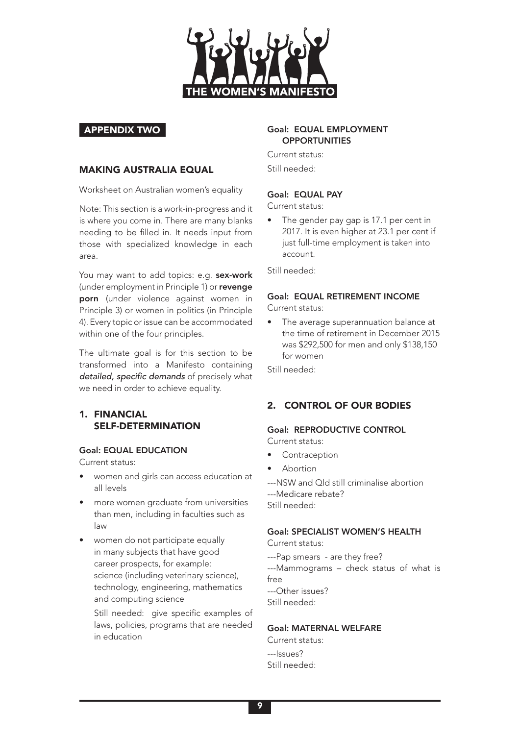

### APPENDIX TWO

#### MAKING AUSTRALIA EQUAL

Worksheet on Australian women's equality

Note: This section is a work-in-progress and it is where you come in. There are many blanks needing to be filled in. It needs input from those with specialized knowledge in each area.

You may want to add topics: e.g. sex-work (under employment in Principle 1) or revenge porn (under violence against women in Principle 3) or women in politics (in Principle 4). Every topic or issue can be accommodated within one of the four principles.

The ultimate goal is for this section to be transformed into a Manifesto containing detailed, specific demands of precisely what we need in order to achieve equality.

## 1. FINANCIAL SELF-DETERMINATION

### Goal: EQUAL EDUCATION

Current status:

- women and girls can access education at all levels
- more women graduate from universities than men, including in faculties such as law
- women do not participate equally in many subjects that have good career prospects, for example: science (including veterinary science), technology, engineering, mathematics and computing science

Still needed: give specific examples of laws, policies, programs that are needed in education

### Goal: EQUAL EMPLOYMENT **OPPORTUNITIES**

Current status: Still needed:

### Goal: EQUAL PAY

Current status:

• The gender pay gap is 17.1 per cent in 2017. It is even higher at 23.1 per cent if just full-time employment is taken into account.

Still needed:

### Goal: EQUAL RETIREMENT INCOME Current status:

• The average superannuation balance at the time of retirement in December 2015 was \$292,500 for men and only \$138,150 for women

Still needed:

## 2. CONTROL OF OUR BODIES

#### Goal: REPRODUCTIVE CONTROL Current status:

- **Contraception**
- Abortion
- ---NSW and Qld still criminalise abortion ---Medicare rebate? Still needed:

### Goal: SPECIALIST WOMEN'S HEALTH

Current status:

---Pap smears - are they free? ---Mammograms – check status of what is free ---Other issues? Still needed:

### Goal: MATERNAL WELFARE

Current status: ---Issues? Still needed: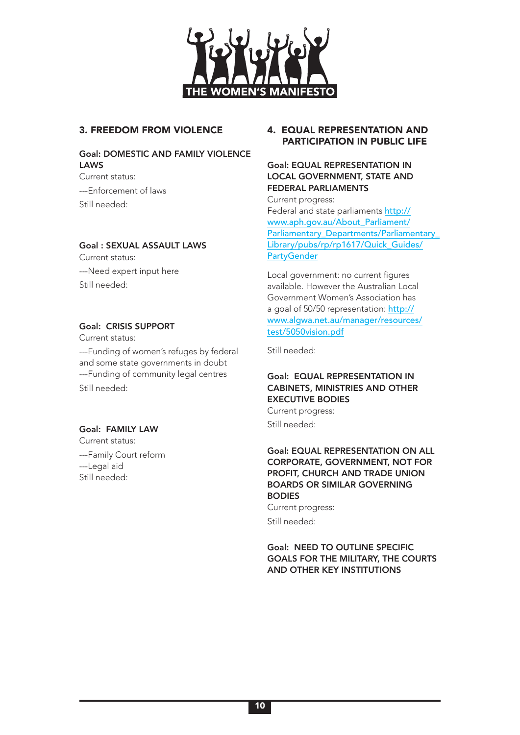

## 3. FREEDOM FROM VIOLENCE

#### Goal: DOMESTIC AND FAMILY VIOLENCE LAWS Current status:

---Enforcement of laws Still needed:

### Goal : SEXUAL ASSAULT LAWS

Current status: ---Need expert input here Still needed:

### Goal: CRISIS SUPPORT

Current status:

---Funding of women's refuges by federal and some state governments in doubt ---Funding of community legal centres Still needed:

### Goal: FAMILY LAW

Current status: ---Family Court reform ---Legal aid Still needed:

### 4. EQUAL REPRESENTATION AND PARTICIPATION IN PUBLIC LIFE

### Goal: EQUAL REPRESENTATION IN LOCAL GOVERNMENT, STATE AND FEDERAL PARLIAMENTS

Current progress: Federal and state parliaments [http://](http://www.aph.gov.au/About_Parliament/Parliamentary_Departments/Parliamentary_Library/pubs/rp/rp161) [www.aph.gov.au/About\\_Parliament/](http://www.aph.gov.au/About_Parliament/Parliamentary_Departments/Parliamentary_Library/pubs/rp/rp161) [Parliamentary\\_Departments/Parliamentary\\_](http://www.aph.gov.au/About_Parliament/Parliamentary_Departments/Parliamentary_Library/pubs/rp/rp161) Library/pubs/rp/rp1617/Quick Guides/ **[PartyGender](http://www.aph.gov.au/About_Parliament/Parliamentary_Departments/Parliamentary_Library/pubs/rp/rp161)** 

Local government: no current figures available. However the Australian Local Government Women's Association has a goal of 50/50 representation: [http://](http://www.algwa.net.au/manager/resources/test/5050vision.pdf) [www.algwa.net.au/manager/resources/](http://www.algwa.net.au/manager/resources/test/5050vision.pdf) [test/5050vision.pdf](http://www.algwa.net.au/manager/resources/test/5050vision.pdf)

Still needed:

### Goal: EQUAL REPRESENTATION IN CABINETS, MINISTRIES AND OTHER EXECUTIVE BODIES Current progress:

Still needed:

## Goal: EQUAL REPRESENTATION ON ALL CORPORATE, GOVERNMENT, NOT FOR PROFIT, CHURCH AND TRADE UNION BOARDS OR SIMILAR GOVERNING BODIES Current progress:

Still needed:

Goal: NEED TO OUTLINE SPECIFIC GOALS FOR THE MILITARY, THE COURTS AND OTHER KEY INSTITUTIONS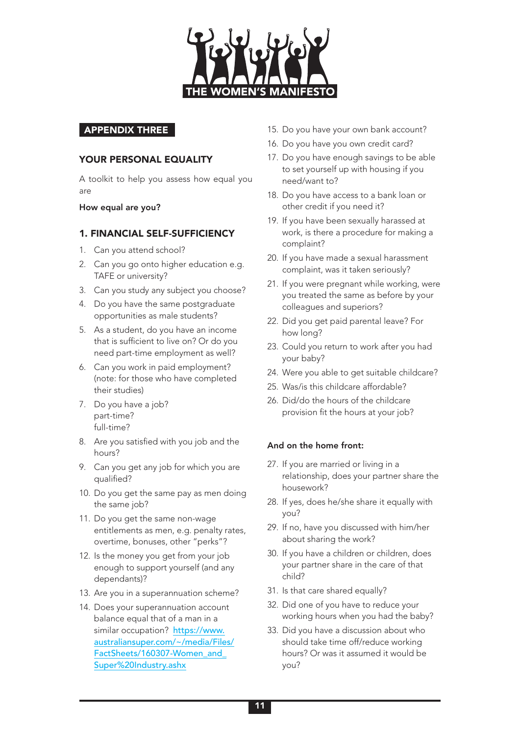

### APPENDIX THREE

### YOUR PERSONAL EQUALITY

A toolkit to help you assess how equal you are

How equal are you?

#### 1. FINANCIAL SELF-SUFFICIENCY

- 1. Can you attend school?
- 2. Can you go onto higher education e.g. TAFE or university?
- 3. Can you study any subject you choose?
- 4. Do you have the same postgraduate opportunities as male students?
- 5. As a student, do you have an income that is sufficient to live on? Or do you need part-time employment as well?
- 6. Can you work in paid employment? (note: for those who have completed their studies)
- 7. Do you have a job? part-time? full-time?
- 8. Are you satisfied with you job and the hours?
- 9. Can you get any job for which you are qualified?
- 10. Do you get the same pay as men doing the same job?
- 11. Do you get the same non-wage entitlements as men, e.g. penalty rates, overtime, bonuses, other "perks"?
- 12. Is the money you get from your job enough to support yourself (and any dependants)?
- 13. Are you in a superannuation scheme?
- 14. Does your superannuation account balance equal that of a man in a similar occupation? [https://www.](https://www.australiansuper.com/~/media/Files/FactSheets/160307-Women_and_Super%20Industry.ashx) [australiansuper.com/~/media/Files/](https://www.australiansuper.com/~/media/Files/FactSheets/160307-Women_and_Super%20Industry.ashx) [FactSheets/160307-Women\\_and\\_](https://www.australiansuper.com/~/media/Files/FactSheets/160307-Women_and_Super%20Industry.ashx) [Super%20Industry.ashx](https://www.australiansuper.com/~/media/Files/FactSheets/160307-Women_and_Super%20Industry.ashx)
- 15. Do you have your own bank account?
- 16. Do you have you own credit card?
- 17. Do you have enough savings to be able to set yourself up with housing if you need/want to?
- 18. Do you have access to a bank loan or other credit if you need it?
- 19. If you have been sexually harassed at work, is there a procedure for making a complaint?
- 20. If you have made a sexual harassment complaint, was it taken seriously?
- 21. If you were pregnant while working, were you treated the same as before by your colleagues and superiors?
- 22. Did you get paid parental leave? For how long?
- 23. Could you return to work after you had your baby?
- 24. Were you able to get suitable childcare?
- 25. Was/is this childcare affordable?
- 26. Did/do the hours of the childcare provision fit the hours at your job?

#### And on the home front:

- 27. If you are married or living in a relationship, does your partner share the housework?
- 28. If yes, does he/she share it equally with you?
- 29. If no, have you discussed with him/her about sharing the work?
- 30. If you have a children or children, does your partner share in the care of that child?
- 31. Is that care shared equally?
- 32. Did one of you have to reduce your working hours when you had the baby?
- 33. Did you have a discussion about who should take time off/reduce working hours? Or was it assumed it would be you?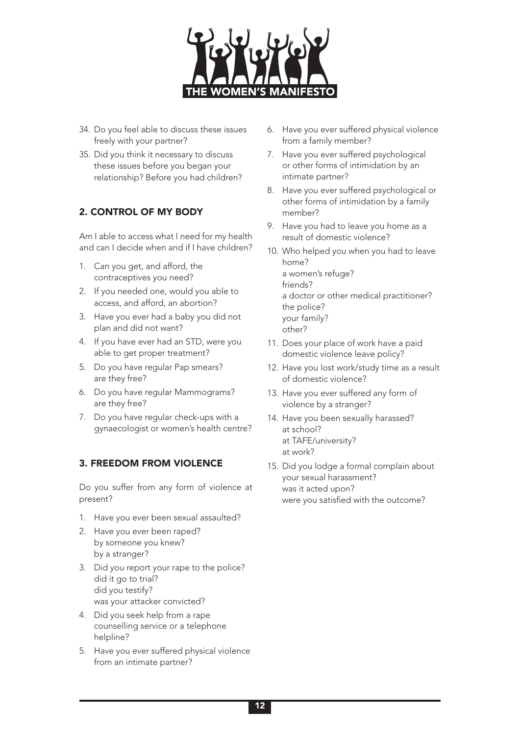

- 34. Do you feel able to discuss these issues freely with your partner?
- 35. Did you think it necessary to discuss these issues before you began your relationship? Before you had children?

# 2. CONTROL OF MY BODY

Am I able to access what I need for my health and can I decide when and if I have children?

- 1. Can you get, and afford, the contraceptives you need?
- 2. If you needed one, would you able to access, and afford, an abortion?
- 3. Have you ever had a baby you did not plan and did not want?
- 4. If you have ever had an STD, were you able to get proper treatment?
- 5. Do you have regular Pap smears? are they free?
- 6. Do you have regular Mammograms? are they free?
- 7. Do you have regular check-ups with a gynaecologist or women's health centre?

## 3. FREEDOM FROM VIOLENCE

Do you suffer from any form of violence at present?

- 1. Have you ever been sexual assaulted?
- 2. Have you ever been raped? by someone you knew? by a stranger?
- 3. Did you report your rape to the police? did it go to trial? did you testify? was your attacker convicted?
- 4. Did you seek help from a rape counselling service or a telephone helpline?
- 5. Have you ever suffered physical violence from an intimate partner?
- 6. Have you ever suffered physical violence from a family member?
- 7. Have you ever suffered psychological or other forms of intimidation by an intimate partner?
- 8. Have you ever suffered psychological or other forms of intimidation by a family member?
- 9. Have you had to leave you home as a result of domestic violence?
- 10. Who helped you when you had to leave home? a women's refuge? friends? a doctor or other medical practitioner? the police? your family? other?
- 11. Does your place of work have a paid domestic violence leave policy?
- 12. Have you lost work/study time as a result of domestic violence?
- 13. Have you ever suffered any form of violence by a stranger?
- 14. Have you been sexually harassed? at school? at TAFE/university? at work?
- 15. Did you lodge a formal complain about your sexual harassment? was it acted upon? were you satisfied with the outcome?